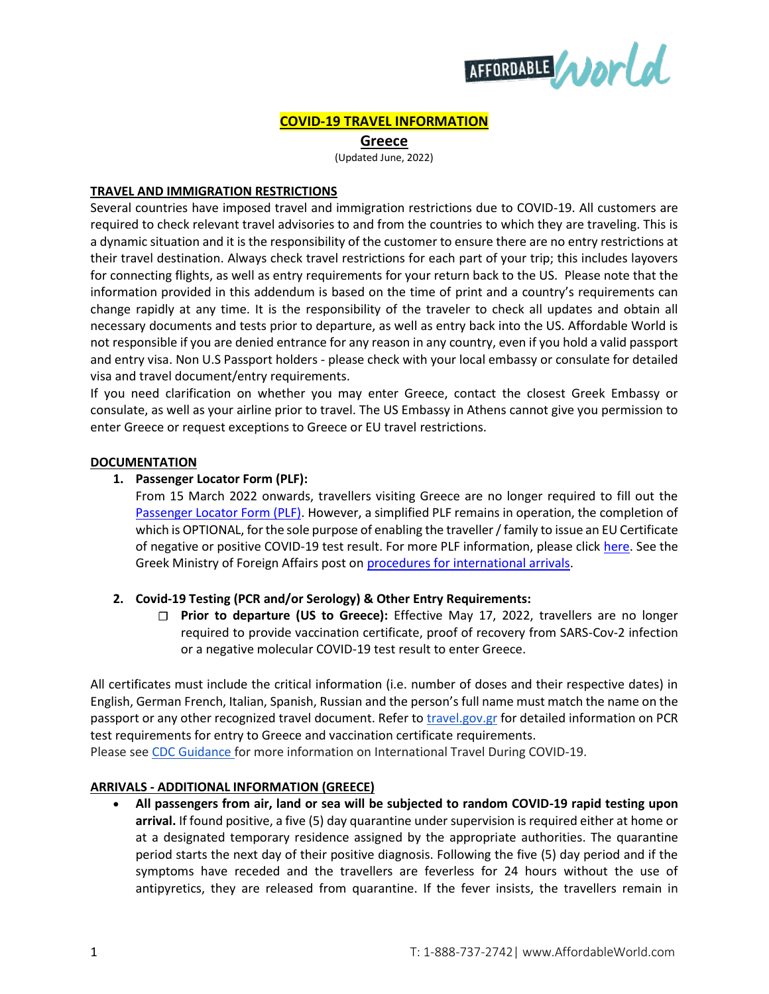

# **COVID-19 TRAVEL INFORMATION**

**Greece**

(Updated June, 2022)

#### **TRAVEL AND IMMIGRATION RESTRICTIONS**

Several countries have imposed travel and immigration restrictions due to COVID-19. All customers are required to check relevant travel advisories to and from the countries to which they are traveling. This is a dynamic situation and it is the responsibility of the customer to ensure there are no entry restrictions at their travel destination. Always check travel restrictions for each part of your trip; this includes layovers for connecting flights, as well as entry requirements for your return back to the US. Please note that the information provided in this addendum is based on the time of print and a country's requirements can change rapidly at any time. It is the responsibility of the traveler to check all updates and obtain all necessary documents and tests prior to departure, as well as entry back into the US. Affordable World is not responsible if you are denied entrance for any reason in any country, even if you hold a valid passport and entry visa. Non U.S Passport holders - please check with your local embassy or consulate for detailed visa and travel document/entry requirements.

If you need clarification on whether you may enter Greece, contact the closest Greek Embassy or consulate, as well as your airline prior to travel. The US Embassy in Athens cannot give you permission to enter Greece or request exceptions to Greece or EU travel restrictions.

## **DOCUMENTATION**

# **1. Passenger Locator Form (PLF):**

From 15 March 2022 onwards, travellers visiting Greece are no longer required to fill out the [Passenger Locator Form \(PLF\).](https://travel.gov.gr/#/user/login) However, a simplified PLF remains in operation, the completion of which is OPTIONAL, for the sole purpose of enabling the traveller / family to issue an EU Certificate of negative or positive COVID-19 test result. For more PLF information, please clic[k here.](https://travel.gov.gr/#/) See the Greek Ministry of Foreign Affairs post on [procedures for international arrivals.](https://www.mfa.gr/en/current-affairs/statements-speeches/welcome-to-greece.html)

# **2. Covid-19 Testing (PCR and/or Serology) & Other Entry Requirements:**

**Prior to departure (US to Greece):** Effective May 17, 2022, travellers are no longer required to provide vaccination certificate, proof of recovery from SARS-Cov-2 infection or a negative molecular COVID-19 test result to enter Greece.

All certificates must include the critical information (i.e. number of doses and their respective dates) in English, German French, Italian, Spanish, Russian and the person's full name must match the name on the passport or any other recognized travel document. Refer t[o travel.gov.gr](https://travel.gov.gr/#/) for detailed information on PCR test requirements for entry to Greece and vaccination certificate requirements.

Please see [CDC Guidance](https://www.cdc.gov/coronavirus/2019-ncov/travelers/international-travel-during-covid19.html) for more information on International Travel During COVID-19.

# **ARRIVALS - ADDITIONAL INFORMATION (GREECE)**

 **All passengers from air, land or sea will be subjected to random COVID-19 rapid testing upon arrival.** If found positive, a five (5) day quarantine under supervision is required either at home or at a designated temporary residence assigned by the appropriate authorities. The quarantine period starts the next day of their positive diagnosis. Following the five (5) day period and if the symptoms have receded and the travellers are feverless for 24 hours without the use of antipyretics, they are released from quarantine. If the fever insists, the travellers remain in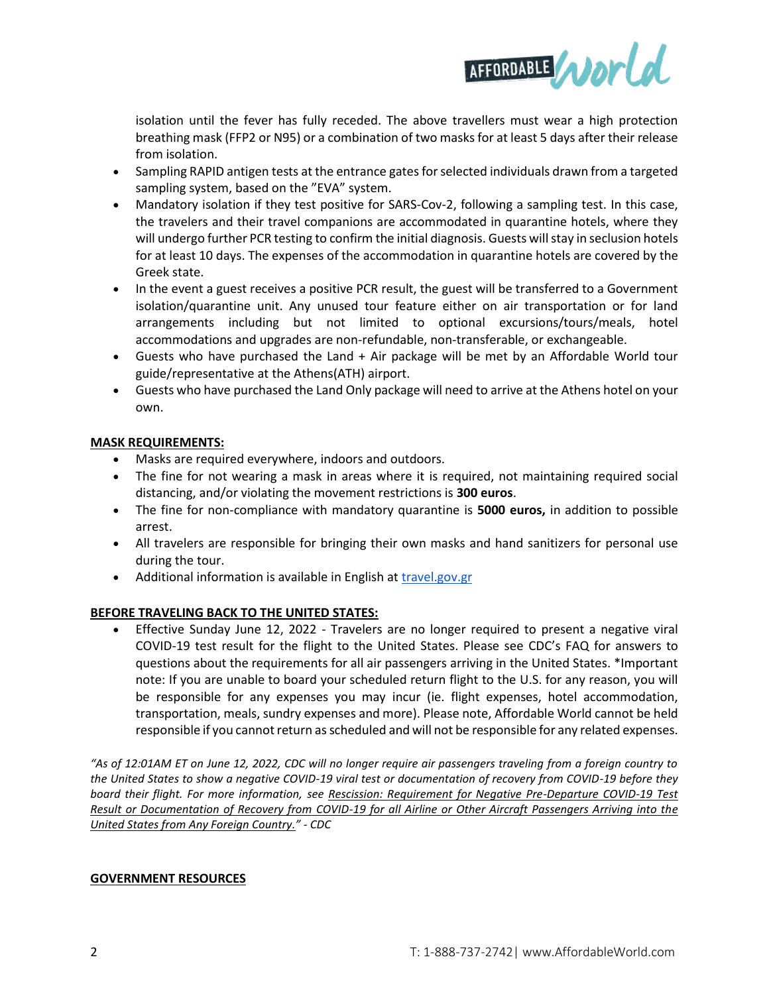

isolation until the fever has fully receded. The above travellers must wear a high protection breathing mask (FFP2 or N95) or a combination of two masks for at least 5 days after their release from isolation.

- Sampling RAPID antigen tests at the entrance gates for selected individuals drawn from a targeted sampling system, based on the "EVA" system.
- Mandatory isolation if they test positive for SARS-Cov-2, following a sampling test. In this case, the travelers and their travel companions are accommodated in quarantine hotels, where they will undergo further PCR testing to confirm the initial diagnosis. Guests will stay in seclusion hotels for at least 10 days. The expenses of the accommodation in quarantine hotels are covered by the Greek state.
- In the event a guest receives a positive PCR result, the guest will be transferred to a Government isolation/quarantine unit. Any unused tour feature either on air transportation or for land arrangements including but not limited to optional excursions/tours/meals, hotel accommodations and upgrades are non-refundable, non-transferable, or exchangeable.
- Guests who have purchased the Land + Air package will be met by an Affordable World tour guide/representative at the Athens(ATH) airport.
- Guests who have purchased the Land Only package will need to arrive at the Athens hotel on your own.

# **MASK REQUIREMENTS:**

- Masks are required everywhere, indoors and outdoors.
- The fine for not wearing a mask in areas where it is required, not maintaining required social distancing, and/or violating the movement restrictions is **300 euros**.
- The fine for non-compliance with mandatory quarantine is **5000 euros,** in addition to possible arrest.
- All travelers are responsible for bringing their own masks and hand sanitizers for personal use during the tour.
- Additional information is available in English at **[travel.gov.gr](https://travel.gov.gr/#/)**

# **BEFORE TRAVELING BACK TO THE UNITED STATES:**

 Effective Sunday June 12, 2022 - Travelers are no longer required to present a negative viral COVID-19 test result for the flight to the United States. Please see [CDC's](https://www.cdc.gov/coronavirus/2019-ncov/travelers/testing-international-air-travelers.html) FAQ for answers to questions about the requirements for all air passengers arriving in the United States. \*Important note: If you are unable to board your scheduled return flight to the U.S. for any reason, you will be responsible for any expenses you may incur (ie. flight expenses, hotel accommodation, transportation, meals, sundry expenses and more). Please note, Affordable World cannot be held responsible if you cannot return as scheduled and will not be responsible for any related expenses.

*"As of 12:01AM ET on June 12, 2022, CDC will no longer require air passengers traveling from a foreign country to the United States to show a negative COVID-19 viral test or documentation of recovery from COVID-19 before they board their flight. For more information, see [Rescission: Requirement for Negative Pre-Departure COVID-19 Test](https://www.cdc.gov/quarantine/fr-proof-negative-test.html)  [Result or Documentation of Recovery from COVID-19 for all Airline or Other Aircraft Passengers Arriving into the](https://www.cdc.gov/quarantine/fr-proof-negative-test.html)  [United States from Any Foreign Country.](https://www.cdc.gov/quarantine/fr-proof-negative-test.html)" - CDC*

#### **GOVERNMENT RESOURCES**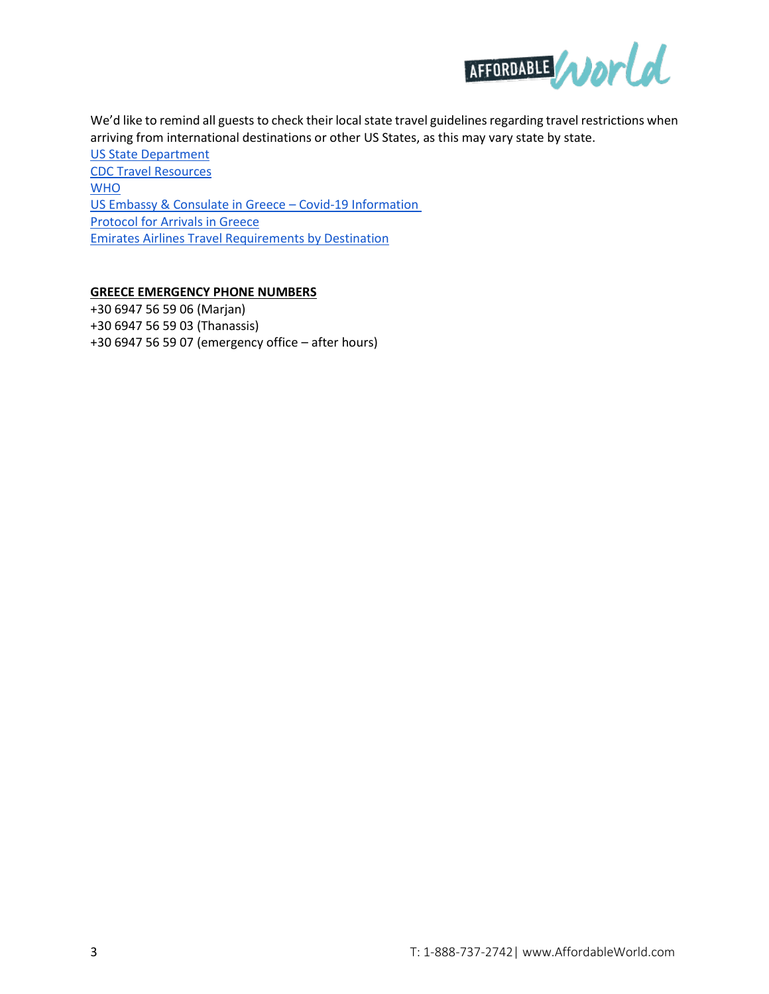

We'd like to remind all guests to check their local state travel guidelines regarding travel restrictions when arriving from international destinations or other US States, as this may vary state by state.

[US State Department](https://travel.state.gov/content/travel/en/traveladvisories/ea/covid-19-information.html#ExternalPopup) [CDC Travel Resources](https://www.cdc.gov/coronavirus/2019-ncov/travelers/testing-international-air-travelers.html) [WHO](https://www.who.int/emergencies/diseases/novel-coronavirus-2019/travel-advice) [US Embassy & Consulate in Greece](https://gr.usembassy.gov/covid-19-information/) – Covid-19 Information [Protocol for Arrivals in Greece](https://travel.gov.gr/#/) [Emirates Airlines Travel Requirements by Destination](https://www.emirates.com/us/english/help/covid-19/travel-requirements-by-destination/?dm_i=2OIG,15QWG,20RNIN,4H1CH,1#81338)

# **GREECE EMERGENCY PHONE NUMBERS**

+30 6947 56 59 06 (Marjan) +30 6947 56 59 03 (Thanassis) +30 6947 56 59 07 (emergency office – after hours)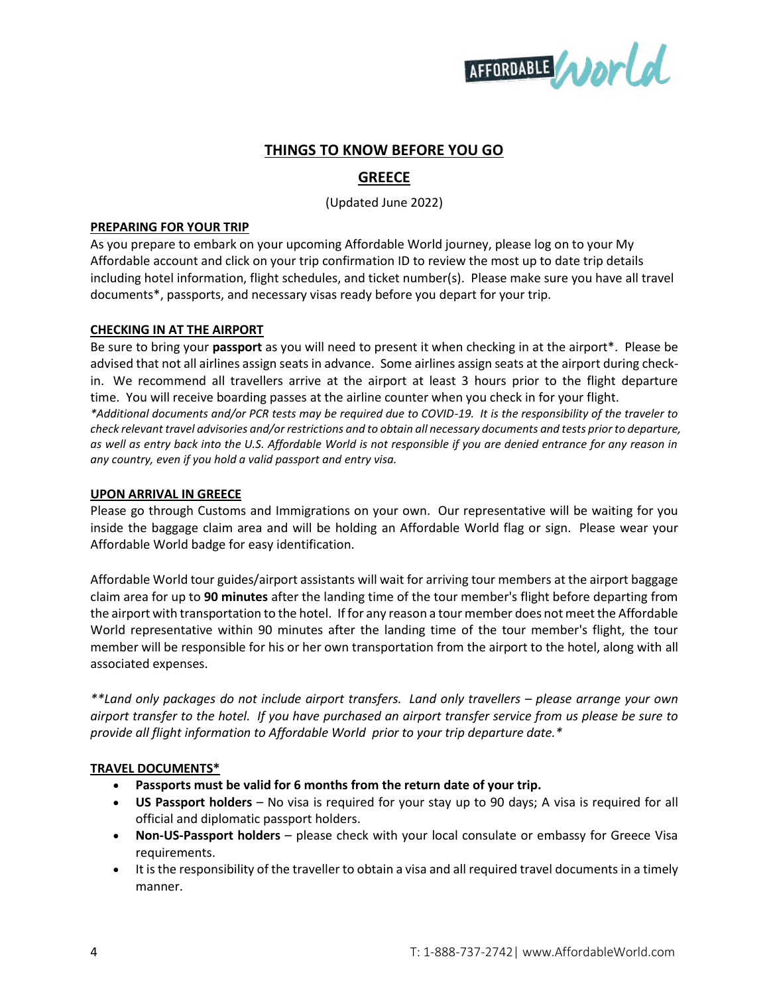

# **THINGS TO KNOW BEFORE YOU GO**

# **GREECE**

(Updated June 2022)

#### **PREPARING FOR YOUR TRIP**

As you prepare to embark on your upcoming Affordable World journey, please log on to your My Affordable account and click on your trip confirmation ID to review the most up to date trip details including hotel information, flight schedules, and ticket number(s). Please make sure you have all travel documents\*, passports, and necessary visas ready before you depart for your trip.

## **CHECKING IN AT THE AIRPORT**

Be sure to bring your **passport** as you will need to present it when checking in at the airport\*. Please be advised that not all airlines assign seats in advance. Some airlines assign seats at the airport during checkin. We recommend all travellers arrive at the airport at least 3 hours prior to the flight departure time. You will receive boarding passes at the airline counter when you check in for your flight. *\*Additional documents and/or PCR tests may be required due to COVID-19. It is the responsibility of the traveler to check relevant travel advisories and/or restrictions and to obtain all necessary documents and tests prior to departure, as well as entry back into the U.S. Affordable World is not responsible if you are denied entrance for any reason in any country, even if you hold a valid passport and entry visa.*

#### **UPON ARRIVAL IN GREECE**

Please go through Customs and Immigrations on your own. Our representative will be waiting for you inside the baggage claim area and will be holding an Affordable World flag or sign. Please wear your Affordable World badge for easy identification.

Affordable World tour guides/airport assistants will wait for arriving tour members at the airport baggage claim area for up to **90 minutes** after the landing time of the tour member's flight before departing from the airport with transportation to the hotel. If for any reason a tour member does not meet the Affordable World representative within 90 minutes after the landing time of the tour member's flight, the tour member will be responsible for his or her own transportation from the airport to the hotel, along with all associated expenses.

*\*\*Land only packages do not include airport transfers. Land only travellers – please arrange your own airport transfer to the hotel. If you have purchased an airport transfer service from us please be sure to provide all flight information to Affordable World prior to your trip departure date.\**

# **TRAVEL DOCUMENTS\***

- **Passports must be valid for 6 months from the return date of your trip.**
- **US Passport holders**  No visa is required for your stay up to 90 days; A visa is required for all official and diplomatic passport holders.
- **Non-US-Passport holders** please check with your local consulate or embassy for Greece Visa requirements.
- It is the responsibility of the traveller to obtain a visa and all required travel documents in a timely manner.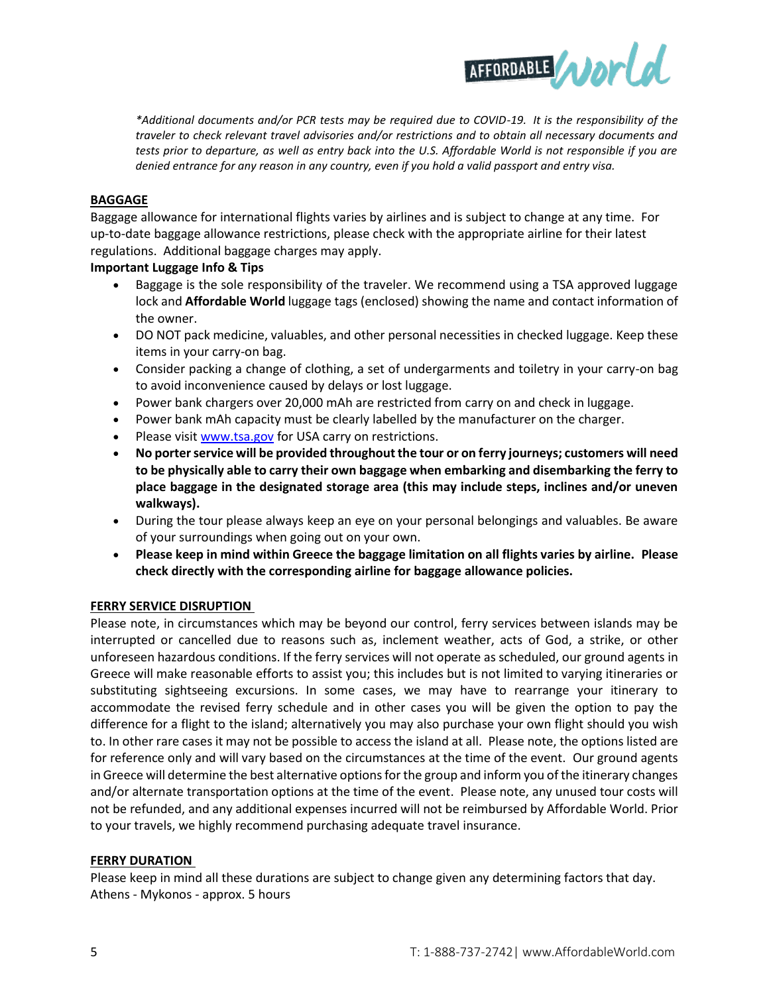

*\*Additional documents and/or PCR tests may be required due to COVID-19. It is the responsibility of the traveler to check relevant travel advisories and/or restrictions and to obtain all necessary documents and tests prior to departure, as well as entry back into the U.S. Affordable World is not responsible if you are denied entrance for any reason in any country, even if you hold a valid passport and entry visa.*

## **BAGGAGE**

Baggage allowance for international flights varies by airlines and is subject to change at any time. For up-to-date baggage allowance restrictions, please check with the appropriate airline for their latest regulations. Additional baggage charges may apply.

## **Important Luggage Info & Tips**

- Baggage is the sole responsibility of the traveler. We recommend using a TSA approved luggage lock and **Affordable World** luggage tags (enclosed) showing the name and contact information of the owner.
- DO NOT pack medicine, valuables, and other personal necessities in checked luggage. Keep these items in your carry-on bag.
- Consider packing a change of clothing, a set of undergarments and toiletry in your carry-on bag to avoid inconvenience caused by delays or lost luggage.
- Power bank chargers over 20,000 mAh are restricted from carry on and check in luggage.
- Power bank mAh capacity must be clearly labelled by the manufacturer on the charger.
- Please visi[t www.tsa.gov](http://www.tsa.gov/) for USA carry on restrictions.
- **No porter service will be provided throughout the tour or on ferry journeys; customers will need to be physically able to carry their own baggage when embarking and disembarking the ferry to place baggage in the designated storage area (this may include steps, inclines and/or uneven walkways).**
- During the tour please always keep an eye on your personal belongings and valuables. Be aware of your surroundings when going out on your own.
- **Please keep in mind within Greece the baggage limitation on all flights varies by airline. Please check directly with the corresponding airline for baggage allowance policies.**

#### **FERRY SERVICE DISRUPTION**

Please note, in circumstances which may be beyond our control, ferry services between islands may be interrupted or cancelled due to reasons such as, inclement weather, acts of God, a strike, or other unforeseen hazardous conditions. If the ferry services will not operate as scheduled, our ground agents in Greece will make reasonable efforts to assist you; this includes but is not limited to varying itineraries or substituting sightseeing excursions. In some cases, we may have to rearrange your itinerary to accommodate the revised ferry schedule and in other cases you will be given the option to pay the difference for a flight to the island; alternatively you may also purchase your own flight should you wish to. In other rare cases it may not be possible to access the island at all. Please note, the options listed are for reference only and will vary based on the circumstances at the time of the event. Our ground agents in Greece will determine the best alternative options for the group and inform you of the itinerary changes and/or alternate transportation options at the time of the event. Please note, any unused tour costs will not be refunded, and any additional expenses incurred will not be reimbursed by Affordable World. Prior to your travels, we highly recommend purchasing adequate travel insurance.

#### **FERRY DURATION**

Please keep in mind all these durations are subject to change given any determining factors that day. Athens - Mykonos - approx. 5 hours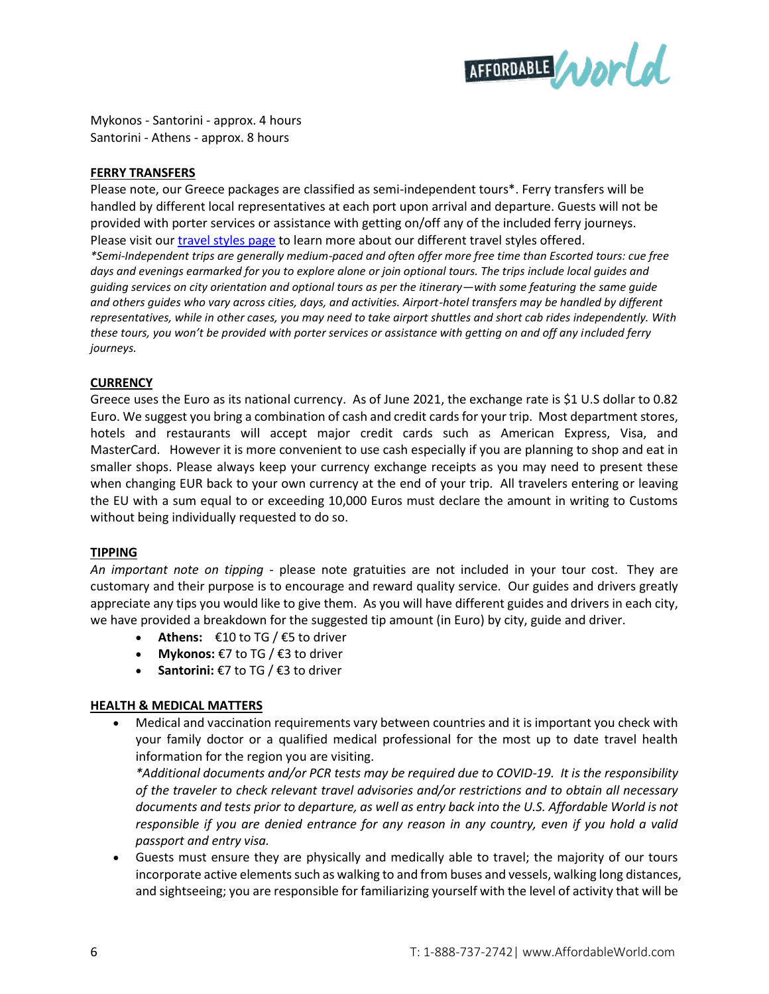

Mykonos - Santorini - approx. 4 hours Santorini - Athens - approx. 8 hours

# **FERRY TRANSFERS**

Please note, our Greece packages are classified as semi-independent tours\*. Ferry transfers will be handled by different local representatives at each port upon arrival and departure. Guests will not be provided with porter services or assistance with getting on/off any of the included ferry journeys. Please visit ou[r travel styles page](https://www.affordableworld.com/travel-styles?item=Semi%20Independent) to learn more about our different travel styles offered. *\*Semi-Independent trips are generally medium-paced and often offer more free time than Escorted tours: cue free days and evenings earmarked for you to explore alone or join optional tours. The trips include local guides and guiding services on city orientation and optional tours as per the itinerary—with some featuring the same guide and others guides who vary across cities, days, and activities. Airport-hotel transfers may be handled by different representatives, while in other cases, you may need to take airport shuttles and short cab rides independently. With these tours, you won't be provided with porter services or assistance with getting on and off any included ferry journeys.*

## **CURRENCY**

Greece uses the Euro as its national currency. As of June 2021, the exchange rate is \$1 U.S dollar to 0.82 Euro. We suggest you bring a combination of cash and credit cards for your trip. Most department stores, hotels and restaurants will accept major credit cards such as American Express, Visa, and MasterCard. However it is more convenient to use cash especially if you are planning to shop and eat in smaller shops. Please always keep your currency exchange receipts as you may need to present these when changing EUR back to your own currency at the end of your trip. All travelers entering or leaving the EU with a sum equal to or exceeding 10,000 Euros must declare the amount in writing to Customs without being individually requested to do so.

#### **TIPPING**

*An important note on tipping -* please note gratuities are not included in your tour cost. They are customary and their purpose is to encourage and reward quality service. Our guides and drivers greatly appreciate any tips you would like to give them. As you will have different guides and drivers in each city, we have provided a breakdown for the suggested tip amount (in Euro) by city, guide and driver.

- Athens:  $€10$  to TG  $/€5$  to driver
- **Mykonos:** €7 to TG / €3 to driver
- **Santorini:** €7 to TG / €3 to driver

# **HEALTH & MEDICAL MATTERS**

 Medical and vaccination requirements vary between countries and it is important you check with your family doctor or a qualified medical professional for the most up to date travel health information for the region you are visiting.

*\*Additional documents and/or PCR tests may be required due to COVID-19. It is the responsibility of the traveler to check relevant travel advisories and/or restrictions and to obtain all necessary documents and tests prior to departure, as well as entry back into the U.S. Affordable World is not responsible if you are denied entrance for any reason in any country, even if you hold a valid passport and entry visa.*

 Guests must ensure they are physically and medically able to travel; the majority of our tours incorporate active elements such as walking to and from buses and vessels, walking long distances, and sightseeing; you are responsible for familiarizing yourself with the level of activity that will be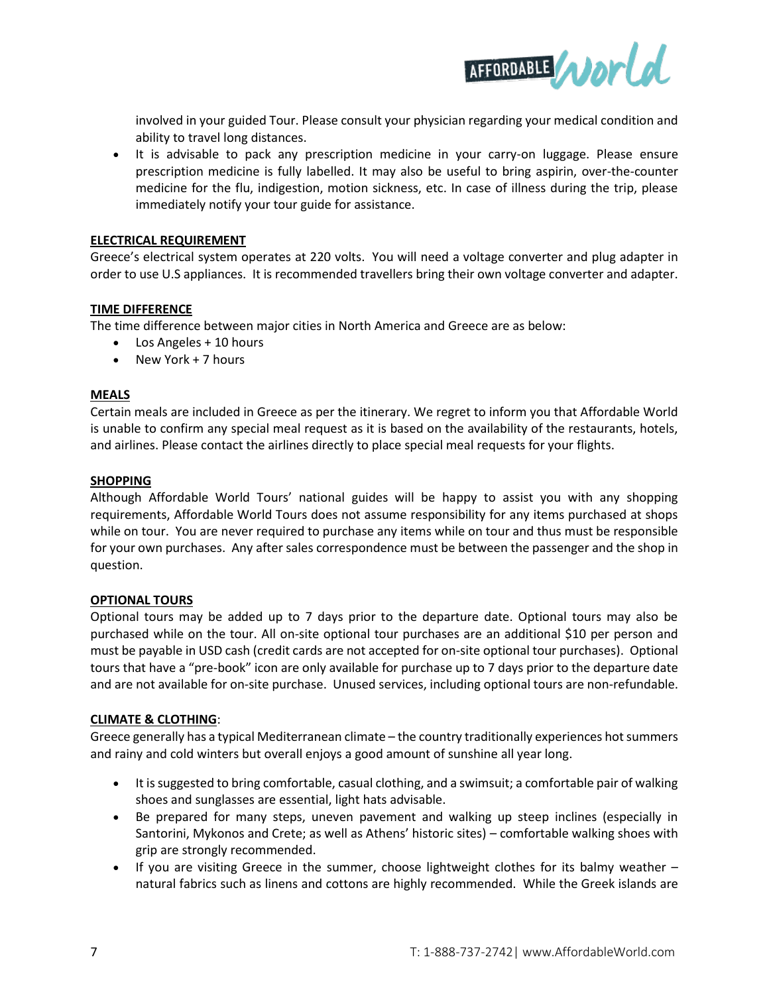

involved in your guided Tour. Please consult your physician regarding your medical condition and ability to travel long distances.

 It is advisable to pack any prescription medicine in your carry-on luggage. Please ensure prescription medicine is fully labelled. It may also be useful to bring aspirin, over-the-counter medicine for the flu, indigestion, motion sickness, etc. In case of illness during the trip, please immediately notify your tour guide for assistance.

## **ELECTRICAL REQUIREMENT**

Greece's electrical system operates at 220 volts. You will need a voltage converter and plug adapter in order to use U.S appliances. It is recommended travellers bring their own voltage converter and adapter.

# **TIME DIFFERENCE**

The time difference between major cities in North America and Greece are as below:

- Los Angeles + 10 hours
- New York + 7 hours

## **MEALS**

Certain meals are included in Greece as per the itinerary. We regret to inform you that Affordable World is unable to confirm any special meal request as it is based on the availability of the restaurants, hotels, and airlines. Please contact the airlines directly to place special meal requests for your flights.

#### **SHOPPING**

Although Affordable World Tours' national guides will be happy to assist you with any shopping requirements, Affordable World Tours does not assume responsibility for any items purchased at shops while on tour. You are never required to purchase any items while on tour and thus must be responsible for your own purchases. Any after sales correspondence must be between the passenger and the shop in question.

#### **OPTIONAL TOURS**

Optional tours may be added up to 7 days prior to the departure date. Optional tours may also be purchased while on the tour. All on-site optional tour purchases are an additional \$10 per person and must be payable in USD cash (credit cards are not accepted for on-site optional tour purchases). Optional tours that have a "pre-book" icon are only available for purchase up to 7 days prior to the departure date and are not available for on-site purchase. Unused services, including optional tours are non-refundable.

#### **CLIMATE & CLOTHING**:

Greece generally has a typical Mediterranean climate – the country traditionally experiences hot summers and rainy and cold winters but overall enjoys a good amount of sunshine all year long.

- It is suggested to bring comfortable, casual clothing, and a swimsuit; a comfortable pair of walking shoes and sunglasses are essential, light hats advisable.
- Be prepared for many steps, uneven pavement and walking up steep inclines (especially in Santorini, Mykonos and Crete; as well as Athens' historic sites) – comfortable walking shoes with grip are strongly recommended.
- If you are visiting Greece in the summer, choose lightweight clothes for its balmy weather  $$ natural fabrics such as linens and cottons are highly recommended. While the Greek islands are